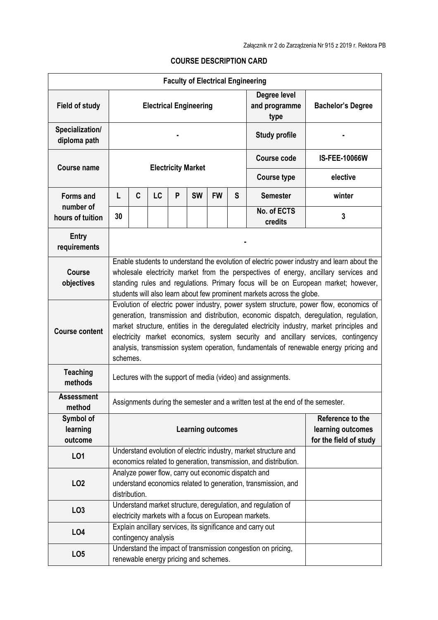## **COURSE DESCRIPTION CARD**

|                                  |                                                                                                                                                                                                                                                                                                                                                                                                                                                                          |   |           |   | <b>Faculty of Electrical Engineering</b> |           |                                       |                                                                                                                       |                      |
|----------------------------------|--------------------------------------------------------------------------------------------------------------------------------------------------------------------------------------------------------------------------------------------------------------------------------------------------------------------------------------------------------------------------------------------------------------------------------------------------------------------------|---|-----------|---|------------------------------------------|-----------|---------------------------------------|-----------------------------------------------------------------------------------------------------------------------|----------------------|
| <b>Field of study</b>            | <b>Electrical Engineering</b>                                                                                                                                                                                                                                                                                                                                                                                                                                            |   |           |   |                                          |           | Degree level<br>and programme<br>type | <b>Bachelor's Degree</b>                                                                                              |                      |
| Specialization/<br>diploma path  |                                                                                                                                                                                                                                                                                                                                                                                                                                                                          |   |           |   |                                          |           |                                       | <b>Study profile</b>                                                                                                  |                      |
| <b>Course name</b>               |                                                                                                                                                                                                                                                                                                                                                                                                                                                                          |   |           |   | <b>Electricity Market</b>                |           |                                       | <b>Course code</b>                                                                                                    | <b>IS-FEE-10066W</b> |
|                                  |                                                                                                                                                                                                                                                                                                                                                                                                                                                                          |   |           |   |                                          |           |                                       | <b>Course type</b>                                                                                                    | elective             |
| <b>Forms and</b>                 | L                                                                                                                                                                                                                                                                                                                                                                                                                                                                        | C | <b>LC</b> | P | <b>SW</b>                                | <b>FW</b> | S                                     | <b>Semester</b>                                                                                                       | winter               |
| number of<br>hours of tuition    | 30                                                                                                                                                                                                                                                                                                                                                                                                                                                                       |   |           |   |                                          |           |                                       | No. of ECTS<br>credits                                                                                                | 3                    |
| <b>Entry</b><br>requirements     |                                                                                                                                                                                                                                                                                                                                                                                                                                                                          |   |           |   |                                          |           |                                       |                                                                                                                       |                      |
| <b>Course</b><br>objectives      | Enable students to understand the evolution of electric power industry and learn about the<br>wholesale electricity market from the perspectives of energy, ancillary services and<br>standing rules and regulations. Primary focus will be on European market; however,<br>students will also learn about few prominent markets across the globe.                                                                                                                       |   |           |   |                                          |           |                                       |                                                                                                                       |                      |
| <b>Course content</b>            | Evolution of electric power industry, power system structure, power flow, economics of<br>generation, transmission and distribution, economic dispatch, deregulation, regulation,<br>market structure, entities in the deregulated electricity industry, market principles and<br>electricity market economics, system security and ancillary services, contingency<br>analysis, transmission system operation, fundamentals of renewable energy pricing and<br>schemes. |   |           |   |                                          |           |                                       |                                                                                                                       |                      |
| <b>Teaching</b><br>methods       | Lectures with the support of media (video) and assignments.                                                                                                                                                                                                                                                                                                                                                                                                              |   |           |   |                                          |           |                                       |                                                                                                                       |                      |
| <b>Assessment</b><br>method      |                                                                                                                                                                                                                                                                                                                                                                                                                                                                          |   |           |   |                                          |           |                                       | Assignments during the semester and a written test at the end of the semester.                                        |                      |
| Symbol of<br>learning<br>outcome | Reference to the<br>learning outcomes<br><b>Learning outcomes</b><br>for the field of study                                                                                                                                                                                                                                                                                                                                                                              |   |           |   |                                          |           |                                       |                                                                                                                       |                      |
| L01                              | Understand evolution of electric industry, market structure and<br>economics related to generation, transmission, and distribution.                                                                                                                                                                                                                                                                                                                                      |   |           |   |                                          |           |                                       |                                                                                                                       |                      |
| LO <sub>2</sub>                  | Analyze power flow, carry out economic dispatch and<br>understand economics related to generation, transmission, and<br>distribution.                                                                                                                                                                                                                                                                                                                                    |   |           |   |                                          |           |                                       |                                                                                                                       |                      |
| LO <sub>3</sub>                  |                                                                                                                                                                                                                                                                                                                                                                                                                                                                          |   |           |   |                                          |           |                                       | Understand market structure, deregulation, and regulation of<br>electricity markets with a focus on European markets. |                      |
| LO <sub>4</sub>                  | Explain ancillary services, its significance and carry out<br>contingency analysis                                                                                                                                                                                                                                                                                                                                                                                       |   |           |   |                                          |           |                                       |                                                                                                                       |                      |
| LO <sub>5</sub>                  |                                                                                                                                                                                                                                                                                                                                                                                                                                                                          |   |           |   | renewable energy pricing and schemes.    |           |                                       | Understand the impact of transmission congestion on pricing,                                                          |                      |